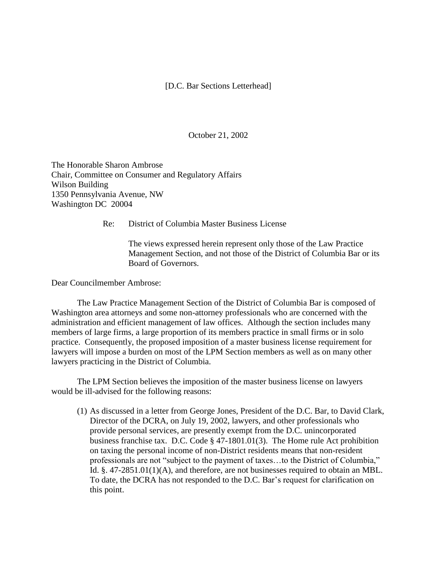## [D.C. Bar Sections Letterhead]

October 21, 2002

The Honorable Sharon Ambrose Chair, Committee on Consumer and Regulatory Affairs Wilson Building 1350 Pennsylvania Avenue, NW Washington DC 20004

Re: District of Columbia Master Business License

The views expressed herein represent only those of the Law Practice Management Section, and not those of the District of Columbia Bar or its Board of Governors.

Dear Councilmember Ambrose:

The Law Practice Management Section of the District of Columbia Bar is composed of Washington area attorneys and some non-attorney professionals who are concerned with the administration and efficient management of law offices. Although the section includes many members of large firms, a large proportion of its members practice in small firms or in solo practice. Consequently, the proposed imposition of a master business license requirement for lawyers will impose a burden on most of the LPM Section members as well as on many other lawyers practicing in the District of Columbia.

The LPM Section believes the imposition of the master business license on lawyers would be ill-advised for the following reasons:

(1) As discussed in a letter from George Jones, President of the D.C. Bar, to David Clark, Director of the DCRA, on July 19, 2002, lawyers, and other professionals who provide personal services, are presently exempt from the D.C. unincorporated business franchise tax. D.C. Code § 47-1801.01(3). The Home rule Act prohibition on taxing the personal income of non-District residents means that non-resident professionals are not "subject to the payment of taxes…to the District of Columbia," Id. §. 47-2851.01(1)(A), and therefore, are not businesses required to obtain an MBL. To date, the DCRA has not responded to the D.C. Bar's request for clarification on this point.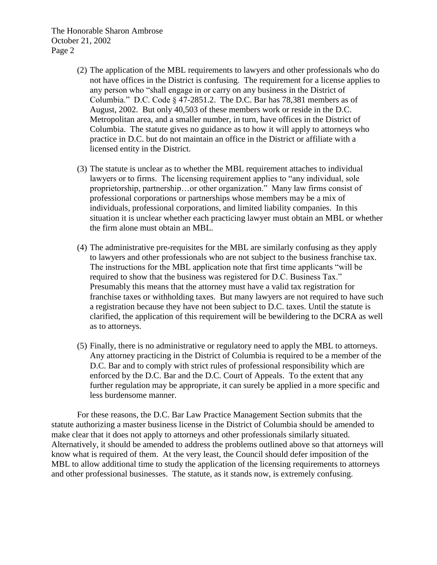The Honorable Sharon Ambrose October 21, 2002 Page 2

- (2) The application of the MBL requirements to lawyers and other professionals who do not have offices in the District is confusing. The requirement for a license applies to any person who "shall engage in or carry on any business in the District of Columbia." D.C. Code § 47-2851.2. The D.C. Bar has 78,381 members as of August, 2002. But only 40,503 of these members work or reside in the D.C. Metropolitan area, and a smaller number, in turn, have offices in the District of Columbia. The statute gives no guidance as to how it will apply to attorneys who practice in D.C. but do not maintain an office in the District or affiliate with a licensed entity in the District.
- (3) The statute is unclear as to whether the MBL requirement attaches to individual lawyers or to firms. The licensing requirement applies to "any individual, sole proprietorship, partnership…or other organization." Many law firms consist of professional corporations or partnerships whose members may be a mix of individuals, professional corporations, and limited liability companies. In this situation it is unclear whether each practicing lawyer must obtain an MBL or whether the firm alone must obtain an MBL.
- (4) The administrative pre-requisites for the MBL are similarly confusing as they apply to lawyers and other professionals who are not subject to the business franchise tax. The instructions for the MBL application note that first time applicants "will be required to show that the business was registered for D.C. Business Tax." Presumably this means that the attorney must have a valid tax registration for franchise taxes or withholding taxes. But many lawyers are not required to have such a registration because they have not been subject to D.C. taxes. Until the statute is clarified, the application of this requirement will be bewildering to the DCRA as well as to attorneys.
- (5) Finally, there is no administrative or regulatory need to apply the MBL to attorneys. Any attorney practicing in the District of Columbia is required to be a member of the D.C. Bar and to comply with strict rules of professional responsibility which are enforced by the D.C. Bar and the D.C. Court of Appeals. To the extent that any further regulation may be appropriate, it can surely be applied in a more specific and less burdensome manner.

For these reasons, the D.C. Bar Law Practice Management Section submits that the statute authorizing a master business license in the District of Columbia should be amended to make clear that it does not apply to attorneys and other professionals similarly situated. Alternatively, it should be amended to address the problems outlined above so that attorneys will know what is required of them. At the very least, the Council should defer imposition of the MBL to allow additional time to study the application of the licensing requirements to attorneys and other professional businesses. The statute, as it stands now, is extremely confusing.